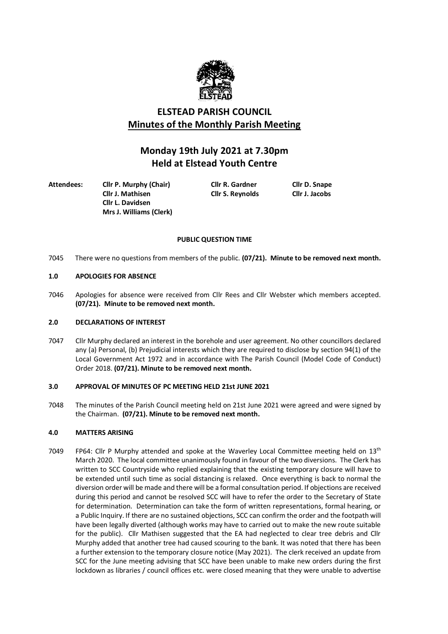

# **ELSTEAD PARISH COUNCIL Minutes of the Monthly Parish Meeting**

# **Monday 19th July 2021 at 7.30pm Held at Elstead Youth Centre**

**Attendees: Cllr P. Murphy (Chair) Cllr R. Gardner Cllr D. Snape Cllr L. Davidsen Mrs J. Williams (Clerk)**

**Cllr J. Mathisen Cllr S. Reynolds Cllr J. Jacobs**

# **PUBLIC QUESTION TIME**

7045 There were no questions from members of the public. **(07/21). Minute to be removed next month.**

# **1.0 APOLOGIES FOR ABSENCE**

7046 Apologies for absence were received from Cllr Rees and Cllr Webster which members accepted. **(07/21). Minute to be removed next month.**

# **2.0 DECLARATIONS OF INTEREST**

7047 Cllr Murphy declared an interest in the borehole and user agreement. No other councillors declared any (a) Personal, (b) Prejudicial interests which they are required to disclose by section 94(1) of the Local Government Act 1972 and in accordance with The Parish Council (Model Code of Conduct) Order 2018. **(07/21). Minute to be removed next month.**

# **3.0 APPROVAL OF MINUTES OF PC MEETING HELD 21st JUNE 2021**

7048 The minutes of the Parish Council meeting held on 21st June 2021 were agreed and were signed by the Chairman. **(07/21). Minute to be removed next month.**

# **4.0 MATTERS ARISING**

7049 FP64: Cllr P Murphy attended and spoke at the Waverley Local Committee meeting held on 13<sup>th</sup> March 2020. The local committee unanimously found in favour of the two diversions. The Clerk has written to SCC Countryside who replied explaining that the existing temporary closure will have to be extended until such time as social distancing is relaxed. Once everything is back to normal the diversion order will be made and there will be a formal consultation period. If objections are received during this period and cannot be resolved SCC will have to refer the order to the Secretary of State for determination. Determination can take the form of written representations, formal hearing, or a Public Inquiry. If there are no sustained objections, SCC can confirm the order and the footpath will have been legally diverted (although works may have to carried out to make the new route suitable for the public). Cllr Mathisen suggested that the EA had neglected to clear tree debris and Cllr Murphy added that another tree had caused scouring to the bank. It was noted that there has been a further extension to the temporary closure notice (May 2021). The clerk received an update from SCC for the June meeting advising that SCC have been unable to make new orders during the first lockdown as libraries / council offices etc. were closed meaning that they were unable to advertise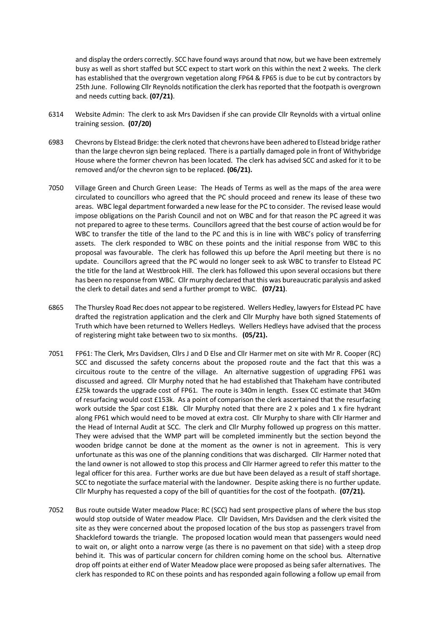and display the orders correctly. SCC have found ways around that now, but we have been extremely busy as well as short staffed but SCC expect to start work on this within the next 2 weeks. The clerk has established that the overgrown vegetation along FP64 & FP65 is due to be cut by contractors by 25th June. Following Cllr Reynolds notification the clerk has reported that the footpath is overgrown and needs cutting back. **(07/21)**.

- 6314 Website Admin: The clerk to ask Mrs Davidsen if she can provide Cllr Reynolds with a virtual online training session. **(07/20)**
- 6983 Chevrons by Elstead Bridge: the clerk noted that chevrons have been adhered to Elstead bridge rather than the large chevron sign being replaced. There is a partially damaged pole in front of Withybridge House where the former chevron has been located. The clerk has advised SCC and asked for it to be removed and/or the chevron sign to be replaced. **(06/21).**
- 7050 Village Green and Church Green Lease: The Heads of Terms as well as the maps of the area were circulated to councillors who agreed that the PC should proceed and renew its lease of these two areas. WBC legal department forwarded a new lease for the PC to consider. The revised lease would impose obligations on the Parish Council and not on WBC and for that reason the PC agreed it was not prepared to agree to these terms. Councillors agreed that the best course of action would be for WBC to transfer the title of the land to the PC and this is in line with WBC's policy of transferring assets. The clerk responded to WBC on these points and the initial response from WBC to this proposal was favourable. The clerk has followed this up before the April meeting but there is no update. Councillors agreed that the PC would no longer seek to ask WBC to transfer to Elstead PC the title for the land at Westbrook Hill. The clerk has followed this upon several occasions but there has been no response from WBC. Cllr murphy declared that this was bureaucratic paralysis and asked the clerk to detail dates and send a further prompt to WBC. **(07/21)**.
- 6865 The Thursley Road Rec does not appear to be registered. Wellers Hedley, lawyers for Elstead PC have drafted the registration application and the clerk and Cllr Murphy have both signed Statements of Truth which have been returned to Wellers Hedleys. Wellers Hedleys have advised that the process of registering might take between two to six months. **(05/21).**
- 7051 FP61: The Clerk, Mrs Davidsen, Cllrs J and D Else and Cllr Harmer met on site with Mr R. Cooper (RC) SCC and discussed the safety concerns about the proposed route and the fact that this was a circuitous route to the centre of the village. An alternative suggestion of upgrading FP61 was discussed and agreed. Cllr Murphy noted that he had established that Thakeham have contributed £25k towards the upgrade cost of FP61. The route is 340m in length. Essex CC estimate that 340m of resurfacing would cost £153k. As a point of comparison the clerk ascertained that the resurfacing work outside the Spar cost £18k. Cllr Murphy noted that there are 2 x poles and 1 x fire hydrant along FP61 which would need to be moved at extra cost. Cllr Murphy to share with Cllr Harmer and the Head of Internal Audit at SCC. The clerk and Cllr Murphy followed up progress on this matter. They were advised that the WMP part will be completed imminently but the section beyond the wooden bridge cannot be done at the moment as the owner is not in agreement. This is very unfortunate as this was one of the planning conditions that was discharged. Cllr Harmer noted that the land owner is not allowed to stop this process and Cllr Harmer agreed to refer this matter to the legal officer for this area. Further works are due but have been delayed as a result of staff shortage. SCC to negotiate the surface material with the landowner. Despite asking there is no further update. Cllr Murphy has requested a copy of the bill of quantities for the cost of the footpath. **(07/21).**
- 7052 Bus route outside Water meadow Place: RC (SCC) had sent prospective plans of where the bus stop would stop outside of Water meadow Place. Cllr Davidsen, Mrs Davidsen and the clerk visited the site as they were concerned about the proposed location of the bus stop as passengers travel from Shackleford towards the triangle. The proposed location would mean that passengers would need to wait on, or alight onto a narrow verge (as there is no pavement on that side) with a steep drop behind it. This was of particular concern for children coming home on the school bus. Alternative drop off points at either end of Water Meadow place were proposed as being safer alternatives. The clerk has responded to RC on these points and has responded again following a follow up email from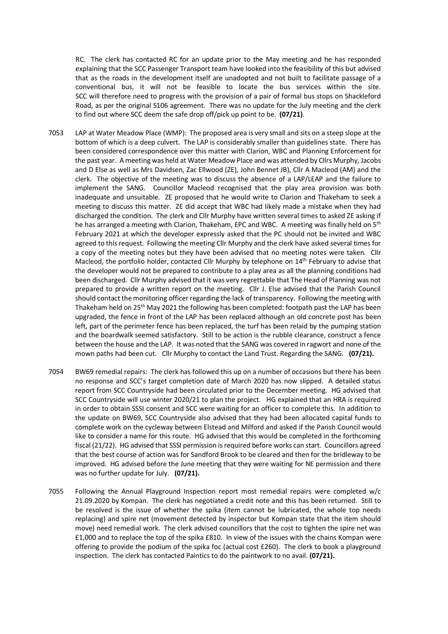RC. The clerk has contacted RC for an update prior to the May meeting and he has responded explaining that the SCC Passenger Transport team have looked into the feasibility of this but advised that as the roads in the development itself are unadopted and not built to facilitate passage of a conventional bus, it will not be feasible to locate the bus services within the site. SCC will therefore need to progress with the provision of a pair of formal bus stops on Shackleford Road, as per the original S106 agreement. There was no update for the July meeting and the clerk to find out where SCC deem the safe drop off/pick up point to be. **(07/21)**.

- 7053 LAP at Water Meadow Place (WMP): The proposed area is very small and sits on a steep slope at the bottom of which is a deep culvert. The LAP is considerably smaller than guidelines state. There has been considered correspondence over this matter with Clarion, WBC and Planning Enforcement for the past year. A meeting was held at Water Meadow Place and was attended by Cllrs Murphy, Jacobs and D Else as well as Mrs Davidsen, Zac Ellwood (ZE), John Bennet JB), Cllr A Macleod (AM) and the clerk. The objective of the meeting was to discuss the absence of a LAP/LEAP and the failure to implement the SANG. Councillor Macleod recognised that the play area provision was both inadequate and unsuitable. ZE proposed that he would write to Clarion and Thakeham to seek a meeting to discuss this matter. ZE did accept that WBC had likely made a mistake when they had discharged the condition. The clerk and Cllr Murphy have written several times to asked ZE asking if he has arranged a meeting with Clarion, Thakeham, EPC and WBC. A meeting was finally held on 5<sup>th</sup> February 2021 at which the developer expressly asked that the PC should not be invited and WBC agreed to this request. Following the meeting Cllr Murphy and the clerk have asked several times for a copy of the meeting notes but they have been advised that no meeting notes were taken. Cllr Macleod, the portfolio holder, contacted Cllr Murphy by telephone on 14<sup>th</sup> February to advise that the developer would not be prepared to contribute to a play area as all the planning conditions had been discharged. Cllr Murphy advised that it was very regrettable that The Head of Planning was not prepared to provide a written report on the meeting. Cllr J. Else advised that the Parish Council should contact the monitoring officer regarding the lack of transparency. Following the meeting with Thakeham held on 25th May 2021 the following has been completed: footpath past the LAP has been upgraded, the fence in front of the LAP has been replaced although an old concrete post has been left, part of the perimeter fence has been replaced, the turf has been relaid by the pumping station and the boardwalk seemed satisfactory. Still to be action is the rubble clearance, construct a fence between the house and the LAP. It was noted that the SANG was covered in ragwort and none of the mown paths had been cut. Cllr Murphy to contact the Land Trust. Regarding the SANG. **(07/21).**
- 7054 BW69 remedial repairs: The clerk has followed this up on a number of occasions but there has been no response and SCC's target completion date of March 2020 has now slipped. A detailed status report from SCC Countryside had been circulated prior to the December meeting. HG advised that SCC Countryside will use winter 2020/21 to plan the project. HG explained that an HRA is required in order to obtain SSSI consent and SCC were waiting for an officer to complete this. In addition to the update on BW69, SCC Countryside also advised that they had been allocated capital funds to complete work on the cycleway between Elstead and Milford and asked if the Parish Council would like to consider a name for this route. HG advised that this would be completed in the forthcoming fiscal (21/22). HG advised that SSSI permission is required before works can start. Councillors agreed that the best course of action was for Sandford Brook to be cleared and then for the bridleway to be improved. HG advised before the June meeting that they were waiting for NE permission and there was no further update for July. **(07/21).**
- 7055 Following the Annual Playground Inspection report most remedial repairs were completed w/c 21.09.2020 by Kompan. The clerk has negotiated a credit note and this has been returned. Still to be resolved is the issue of whether the spika (item cannot be lubricated, the whole top needs replacing) and spire net (movement detected by inspector but Kompan state that the item should move) need remedial work. The clerk advised councillors that the cost to tighten the spire net was £1,000 and to replace the top of the spika £810. In view of the issues with the chains Kompan were offering to provide the podium of the spika foc (actual cost £260). The clerk to book a playground inspection. The clerk has contacted Paintics to do the paintwork to no avail. **(07/21).**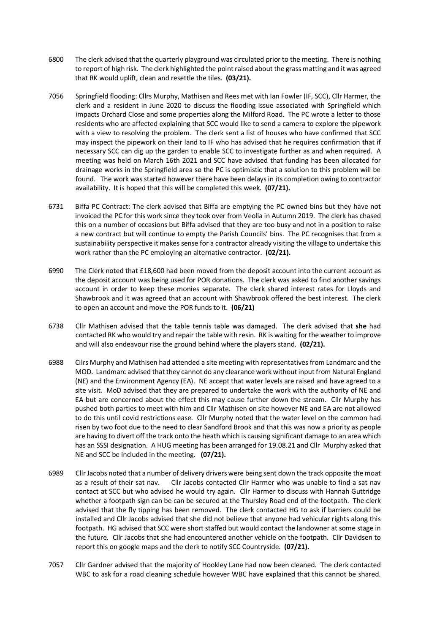- 6800 The clerk advised that the quarterly playground was circulated prior to the meeting. There is nothing to report of high risk. The clerk highlighted the point raised about the grass matting and it was agreed that RK would uplift, clean and resettle the tiles. **(03/21).**
- 7056 Springfield flooding: Cllrs Murphy, Mathisen and Rees met with Ian Fowler (IF, SCC), Cllr Harmer, the clerk and a resident in June 2020 to discuss the flooding issue associated with Springfield which impacts Orchard Close and some properties along the Milford Road. The PC wrote a letter to those residents who are affected explaining that SCC would like to send a camera to explore the pipework with a view to resolving the problem. The clerk sent a list of houses who have confirmed that SCC may inspect the pipework on their land to IF who has advised that he requires confirmation that if necessary SCC can dig up the garden to enable SCC to investigate further as and when required. A meeting was held on March 16th 2021 and SCC have advised that funding has been allocated for drainage works in the Springfield area so the PC is optimistic that a solution to this problem will be found. The work was started however there have been delays in its completion owing to contractor availability. It is hoped that this will be completed this week. **(07/21).**
- 6731 Biffa PC Contract: The clerk advised that Biffa are emptying the PC owned bins but they have not invoiced the PC for this work since they took over from Veolia in Autumn 2019. The clerk has chased this on a number of occasions but Biffa advised that they are too busy and not in a position to raise a new contract but will continue to empty the Parish Councils' bins. The PC recognises that from a sustainability perspective it makes sense for a contractor already visiting the village to undertake this work rather than the PC employing an alternative contractor. **(02/21).**
- 6990 The Clerk noted that £18,600 had been moved from the deposit account into the current account as the deposit account was being used for POR donations. The clerk was asked to find another savings account in order to keep these monies separate. The clerk shared interest rates for Lloyds and Shawbrook and it was agreed that an account with Shawbrook offered the best interest. The clerk to open an account and move the POR funds to it. **(06/21)**
- 6738 Cllr Mathisen advised that the table tennis table was damaged. The clerk advised that **she** had contacted RK who would try and repair the table with resin. RK is waiting for the weather to improve and will also endeavour rise the ground behind where the players stand. **(02/21).**
- 6988 Cllrs Murphy and Mathisen had attended a site meeting with representatives from Landmarc and the MOD. Landmarc advised that they cannot do any clearance work without input from Natural England (NE) and the Environment Agency (EA). NE accept that water levels are raised and have agreed to a site visit. MoD advised that they are prepared to undertake the work with the authority of NE and EA but are concerned about the effect this may cause further down the stream. Cllr Murphy has pushed both parties to meet with him and Cllr Mathisen on site however NE and EA are not allowed to do this until covid restrictions ease. Cllr Murphy noted that the water level on the common had risen by two foot due to the need to clear Sandford Brook and that this was now a priority as people are having to divert off the track onto the heath which is causing significant damage to an area which has an SSSI designation. A HUG meeting has been arranged for 19.08.21 and Cllr Murphy asked that NE and SCC be included in the meeting. **(07/21).**
- 6989 Cllr Jacobs noted that a number of delivery drivers were being sent down the track opposite the moat as a result of their sat nav. Cllr Jacobs contacted Cllr Harmer who was unable to find a sat nav contact at SCC but who advised he would try again. Cllr Harmer to discuss with Hannah Guttridge whether a footpath sign can be can be secured at the Thursley Road end of the footpath. The clerk advised that the fly tipping has been removed. The clerk contacted HG to ask if barriers could be installed and Cllr Jacobs advised that she did not believe that anyone had vehicular rights along this footpath. HG advised that SCC were short staffed but would contact the landowner at some stage in the future. Cllr Jacobs that she had encountered another vehicle on the footpath. Cllr Davidsen to report this on google maps and the clerk to notify SCC Countryside. **(07/21).**
- 7057 Cllr Gardner advised that the majority of Hookley Lane had now been cleaned. The clerk contacted WBC to ask for a road cleaning schedule however WBC have explained that this cannot be shared.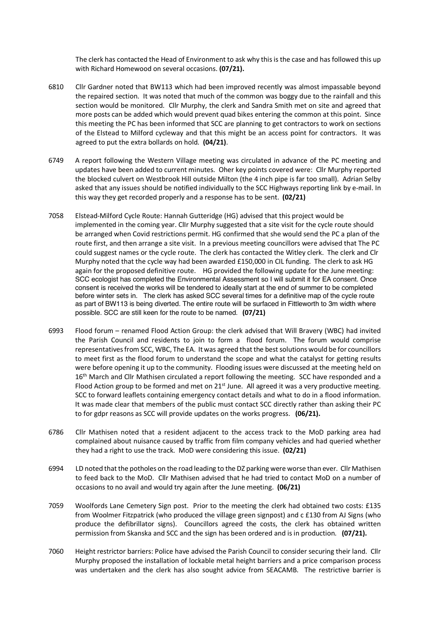The clerk has contacted the Head of Environment to ask why this is the case and has followed this up with Richard Homewood on several occasions. **(07/21).**

- 6810 Cllr Gardner noted that BW113 which had been improved recently was almost impassable beyond the repaired section. It was noted that much of the common was boggy due to the rainfall and this section would be monitored. Cllr Murphy, the clerk and Sandra Smith met on site and agreed that more posts can be added which would prevent quad bikes entering the common at this point. Since this meeting the PC has been informed that SCC are planning to get contractors to work on sections of the Elstead to Milford cycleway and that this might be an access point for contractors. It was agreed to put the extra bollards on hold. **(04/21)**.
- 6749 A report following the Western Village meeting was circulated in advance of the PC meeting and updates have been added to current minutes. Oher key points covered were: Cllr Murphy reported the blocked culvert on Westbrook Hill outside Milton (the 4 inch pipe is far too small). Adrian Selby asked that any issues should be notified individually to the SCC Highways reporting link by e-mail. In this way they get recorded properly and a response has to be sent. **(02/21)**
- 7058 Elstead-Milford Cycle Route: Hannah Gutteridge (HG) advised that this project would be implemented in the coming year. ClIr Murphy suggested that a site visit for the cycle route should be arranged when Covid restrictions permit. HG confirmed that she would send the PC a plan of the route first, and then arrange a site visit. In a previous meeting councillors were advised that The PC could suggest names or the cycle route. The clerk has contacted the Witley clerk. The clerk and Clr Murphy noted that the cycle way had been awarded £150,000 in CIL funding. The clerk to ask HG again for the proposed definitive route. HG provided the following update for the June meeting: SCC ecologist has completed the Environmental Assessment so I will submit it for EA consent. Once consent is received the works will be tendered to ideally start at the end of summer to be completed before winter sets in. The clerk has asked SCC several times for a definitive map of the cycle route as part of BW113 is being diverted. The entire route will be surfaced in Fittleworth to 3m width where possible. SCC are still keen for the route to be named. **(07/21)**
- 6993 Flood forum renamed Flood Action Group: the clerk advised that Will Bravery (WBC) had invited the Parish Council and residents to join to form a flood forum. The forum would comprise representatives from SCC, WBC, The EA. It was agreed that the best solutions would be for councillors to meet first as the flood forum to understand the scope and what the catalyst for getting results were before opening it up to the community. Flooding issues were discussed at the meeting held on 16<sup>th</sup> March and Cllr Mathisen circulated a report following the meeting. SCC have responded and a Flood Action group to be formed and met on  $21<sup>st</sup>$  June. All agreed it was a very productive meeting. SCC to forward leaflets containing emergency contact details and what to do in a flood information. It was made clear that members of the public must contact SCC directly rather than asking their PC to for gdpr reasons as SCC will provide updates on the works progress. **(06/21).**
- 6786 Cllr Mathisen noted that a resident adjacent to the access track to the MoD parking area had complained about nuisance caused by traffic from film company vehicles and had queried whether they had a right to use the track. MoD were considering this issue. **(02/21)**
- 6994 LD noted that the potholes on the road leading to the DZ parking were worse than ever. Cllr Mathisen to feed back to the MoD. Cllr Mathisen advised that he had tried to contact MoD on a number of occasions to no avail and would try again after the June meeting. **(06/21)**
- 7059 Woolfords Lane Cemetery Sign post. Prior to the meeting the clerk had obtained two costs: £135 from Woolmer Fitzpatrick (who produced the village green signpost) and c £130 from AJ Signs (who produce the defibrillator signs). Councillors agreed the costs, the clerk has obtained written permission from Skanska and SCC and the sign has been ordered and is in production. **(07/21).**
- 7060 Height restrictor barriers: Police have advised the Parish Council to consider securing their land. Cllr Murphy proposed the installation of lockable metal height barriers and a price comparison process was undertaken and the clerk has also sought advice from SEACAMB. The restrictive barrier is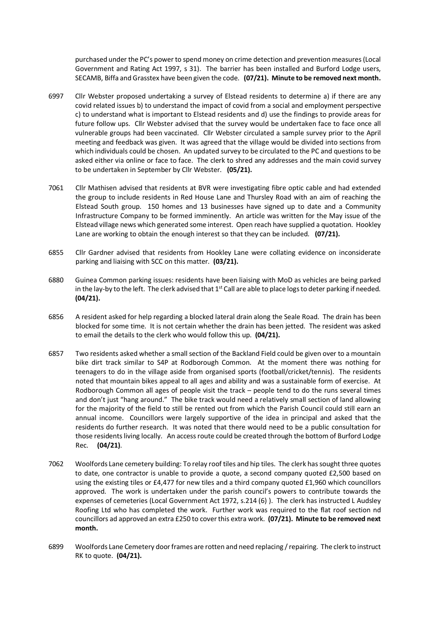purchased under the PC's power to spend money on crime detection and prevention measures (Local Government and Rating Act 1997, s 31). The barrier has been installed and Burford Lodge users, SECAMB, Biffa and Grasstex have been given the code. **(07/21). Minute to be removed next month.**

- 6997 Cllr Webster proposed undertaking a survey of Elstead residents to determine a) if there are any covid related issues b) to understand the impact of covid from a social and employment perspective c) to understand what is important to Elstead residents and d) use the findings to provide areas for future follow ups. Cllr Webster advised that the survey would be undertaken face to face once all vulnerable groups had been vaccinated. Cllr Webster circulated a sample survey prior to the April meeting and feedback was given. It was agreed that the village would be divided into sections from which individuals could be chosen. An updated survey to be circulated to the PC and questions to be asked either via online or face to face. The clerk to shred any addresses and the main covid survey to be undertaken in September by Cllr Webster. **(05/21).**
- 7061 Cllr Mathisen advised that residents at BVR were investigating fibre optic cable and had extended the group to include residents in Red House Lane and Thursley Road with an aim of reaching the Elstead South group. 150 homes and 13 businesses have signed up to date and a Community Infrastructure Company to be formed imminently. An article was written for the May issue of the Elstead village news which generated some interest. Open reach have supplied a quotation. Hookley Lane are working to obtain the enough interest so that they can be included. **(07/21).**
- 6855 Cllr Gardner advised that residents from Hookley Lane were collating evidence on inconsiderate parking and liaising with SCC on this matter. **(03/21).**
- 6880 Guinea Common parking issues: residents have been liaising with MoD as vehicles are being parked in the lay-by to the left. The clerk advised that  $1<sup>st</sup>$  Call are able to place logs to deter parking if needed. **(04/21).**
- 6856 A resident asked for help regarding a blocked lateral drain along the Seale Road. The drain has been blocked for some time. It is not certain whether the drain has been jetted. The resident was asked to email the details to the clerk who would follow this up. **(04/21).**
- 6857 Two residents asked whether a small section of the Backland Field could be given over to a mountain bike dirt track similar to S4P at Rodborough Common. At the moment there was nothing for teenagers to do in the village aside from organised sports (football/cricket/tennis). The residents noted that mountain bikes appeal to all ages and ability and was a sustainable form of exercise. At Rodborough Common all ages of people visit the track – people tend to do the runs several times and don't just "hang around." The bike track would need a relatively small section of land allowing for the majority of the field to still be rented out from which the Parish Council could still earn an annual income. Councillors were largely supportive of the idea in principal and asked that the residents do further research. It was noted that there would need to be a public consultation for those residents living locally. An access route could be created through the bottom of Burford Lodge Rec. **(04/21)**.
- 7062 Woolfords Lane cemetery building: To relay roof tiles and hip tiles. The clerk has sought three quotes to date, one contractor is unable to provide a quote, a second company quoted £2,500 based on using the existing tiles or £4,477 for new tiles and a third company quoted £1,960 which councillors approved. The work is undertaken under the parish council's powers to contribute towards the expenses of cemeteries (Local Government Act 1972, s.214 (6) ). The clerk has instructed L Audsley Roofing Ltd who has completed the work. Further work was required to the flat roof section nd councillors ad approved an extra £250 to cover this extra work. **(07/21). Minute to be removed next month.**
- 6899 Woolfords Lane Cemetery door frames are rotten and need replacing / repairing. The clerk to instruct RK to quote. **(04/21).**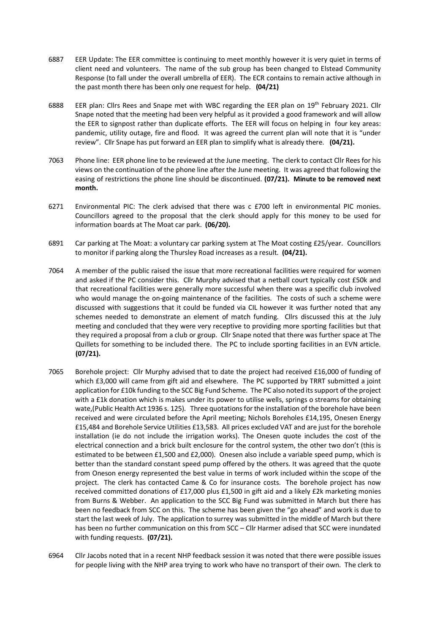- 6887 EER Update: The EER committee is continuing to meet monthly however it is very quiet in terms of client need and volunteers. The name of the sub group has been changed to Elstead Community Response (to fall under the overall umbrella of EER). The ECR contains to remain active although in the past month there has been only one request for help. **(04/21)**
- 6888 EER plan: Cllrs Rees and Snape met with WBC regarding the EER plan on 19<sup>th</sup> February 2021. Cllr Snape noted that the meeting had been very helpful as it provided a good framework and will allow the EER to signpost rather than duplicate efforts. The EER will focus on helping in four key areas: pandemic, utility outage, fire and flood. It was agreed the current plan will note that it is "under review". Cllr Snape has put forward an EER plan to simplify what is already there. **(04/21).**
- 7063 Phone line: EER phone line to be reviewed at the June meeting. The clerk to contact Cllr Rees for his views on the continuation of the phone line after the June meeting. It was agreed that following the easing of restrictions the phone line should be discontinued. **(07/21). Minute to be removed next month.**
- 6271 Environmental PIC: The clerk advised that there was c £700 left in environmental PIC monies. Councillors agreed to the proposal that the clerk should apply for this money to be used for information boards at The Moat car park. **(06/20).**
- 6891 Car parking at The Moat: a voluntary car parking system at The Moat costing £25/year. Councillors to monitor if parking along the Thursley Road increases as a result. **(04/21).**
- 7064 A member of the public raised the issue that more recreational facilities were required for women and asked if the PC consider this. Cllr Murphy advised that a netball court typically cost £50k and that recreational facilities were generally more successful when there was a specific club involved who would manage the on-going maintenance of the facilities. The costs of such a scheme were discussed with suggestions that it could be funded via CIL however it was further noted that any schemes needed to demonstrate an element of match funding. Cllrs discussed this at the July meeting and concluded that they were very receptive to providing more sporting facilities but that they required a proposal from a club or group. Cllr Snape noted that there was further space at The Quillets for something to be included there. The PC to include sporting facilities in an EVN article. **(07/21).**
- 7065 Borehole project: Cllr Murphy advised that to date the project had received £16,000 of funding of which £3,000 will came from gift aid and elsewhere. The PC supported by TRRT submitted a joint application for £10k funding to the SCC Big Fund Scheme. The PC also noted its support of the project with a £1k donation which is makes under its power to utilise wells, springs o streams for obtaining wate,(Public Health Act 1936 s. 125). Three quotations for the installation of the borehole have been received and were circulated before the April meeting; Nichols Boreholes £14,195, Onesen Energy £15,484 and Borehole Service Utilities £13,583. All prices excluded VAT and are just for the borehole installation (ie do not include the irrigation works). The Onesen quote includes the cost of the electrical connection and a brick built enclosure for the control system, the other two don't (this is estimated to be between £1,500 and £2,000). Onesen also include a variable speed pump, which is better than the standard constant speed pump offered by the others. It was agreed that the quote from Oneson energy represented the best value in terms of work included within the scope of the project. The clerk has contacted Came & Co for insurance costs. The borehole project has now received committed donations of £17,000 plus £1,500 in gift aid and a likely £2k marketing monies from Burns & Webber. An application to the SCC Big Fund was submitted in March but there has been no feedback from SCC on this. The scheme has been given the "go ahead" and work is due to start the last week of July. The application to surrey was submitted in the middle of March but there has been no further communication on this from SCC – Cllr Harmer adised that SCC were inundated with funding requests. **(07/21).**
- 6964 Cllr Jacobs noted that in a recent NHP feedback session it was noted that there were possible issues for people living with the NHP area trying to work who have no transport of their own. The clerk to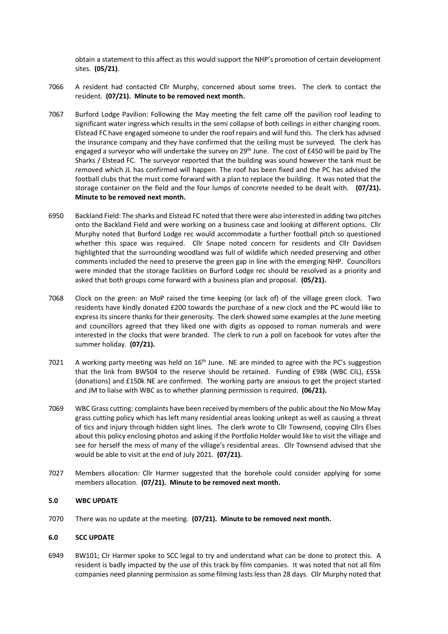obtain a statement to this affect as this would support the NHP's promotion of certain development sites. **(05/21)**.

- 7066 A resident had contacted Cllr Murphy, concerned about some trees. The clerk to contact the resident. **(07/21). Minute to be removed next month.**
- 7067 Burford Lodge Pavilion: Following the May meeting the felt came off the pavilion roof leading to significant water ingress which results in the semi collapse of both ceilings in either changing room. Elstead FC have engaged someone to under the roof repairs and will fund this. The clerk has advised the insurance company and they have confirmed that the ceiling must be surveyed. The clerk has engaged a surveyor who will undertake the survey on  $29<sup>th</sup>$  June. The cost of £450 will be paid by The Sharks / Elstead FC. The surveyor reported that the building was sound however the tank must be removed which JL has confirmed will happen. The roof has been fixed and the PC has advised the football clubs that the must come forward with a plan to replace the building. It was noted that the storage container on the field and the four lumps of concrete needed to be dealt with. **(07/21). Minute to be removed next month.**
- 6950 Backland Field: The sharks and Elstead FC noted that there were also interested in adding two pitches onto the Backland Field and were working on a business case and looking at different options. Cllr Murphy noted that Burford Lodge rec would accommodate a further football pitch so questioned whether this space was required. Cllr Snape noted concern for residents and Cllr Davidsen highlighted that the surrounding woodland was full of wildlife which needed preserving and other comments included the need to preserve the green gap in line with the emerging NHP. Councillors were minded that the storage facilities on Burford Lodge rec should be resolved as a priority and asked that both groups come forward with a business plan and proposal. **(05/21).**
- 7068 Clock on the green: an MoP raised the time keeping (or lack of) of the village green clock. Two residents have kindly donated £200 towards the purchase of a new clock and the PC would like to express its sincere thanks for their generosity. The clerk showed some examples at the June meeting and councillors agreed that they liked one with digits as opposed to roman numerals and were interested in the clocks that were branded. The clerk to run a poll on facebook for votes after the summer holiday. **(07/21).**
- 7021 A working party meeting was held on  $16<sup>th</sup>$  June. NE are minded to agree with the PC's suggestion that the link from BW504 to the reserve should be retained. Funding of £98k (WBC CIL), £55k (donations) and £150k NE are confirmed. The working party are anxious to get the project started and JM to liaise with WBC as to whether planning permission is required. **(06/21).**
- 7069 WBC Grass cutting: complaints have been received by members of the public about the No Mow May grass cutting policy which has left many residential areas looking unkept as well as causing a threat of tics and injury through hidden sight lines. The clerk wrote to Cllr Townsend, copying Cllrs Elses about this policy enclosing photos and asking if the Portfolio Holder would like to visit the village and see for herself the mess of many of the village's residential areas. Cllr Townsend advised that she would be able to visit at the end of July 2021. **(07/21).**
- 7027 Members allocation: Cllr Harmer suggested that the borehole could consider applying for some members allocation. **(07/21). Minute to be removed next month.**

#### **5.0 WBC UPDATE**

7070 There was no update at the meeting. **(07/21). Minute to be removed next month.**

#### **6.0 SCC UPDATE**

6949 BW101; Clr Harmer spoke to SCC legal to try and understand what can be done to protect this. A resident is badly impacted by the use of this track by film companies. It was noted that not all film companies need planning permission as some filming lasts less than 28 days. Cllr Murphy noted that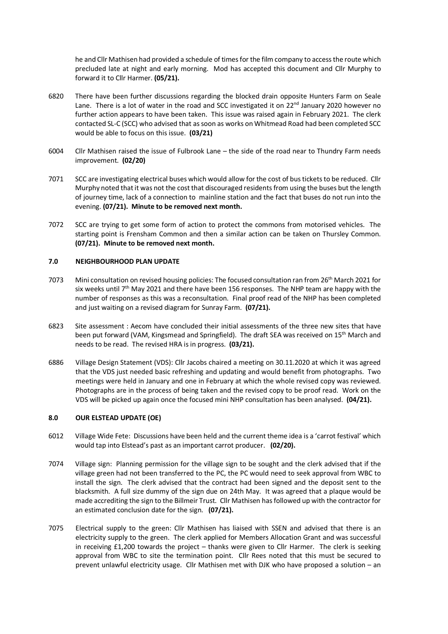he and Cllr Mathisen had provided a schedule of times for the film company to access the route which precluded late at night and early morning. Mod has accepted this document and Cllr Murphy to forward it to Cllr Harmer. **(05/21).** 

- 6820 There have been further discussions regarding the blocked drain opposite Hunters Farm on Seale Lane. There is a lot of water in the road and SCC investigated it on  $22^{nd}$  January 2020 however no further action appears to have been taken. This issue was raised again in February 2021. The clerk contacted SL-C (SCC) who advised that as soon as works on Whitmead Road had been completed SCC would be able to focus on this issue. **(03/21)**
- 6004 Cllr Mathisen raised the issue of Fulbrook Lane the side of the road near to Thundry Farm needs improvement. **(02/20)**
- 7071 SCC are investigating electrical buses which would allow for the cost of bus tickets to be reduced. Cllr Murphy noted that it was not the cost that discouraged residents from using the buses but the length of journey time, lack of a connection to mainline station and the fact that buses do not run into the evening. **(07/21). Minute to be removed next month.**
- 7072 SCC are trying to get some form of action to protect the commons from motorised vehicles. The starting point is Frensham Common and then a similar action can be taken on Thursley Common. **(07/21). Minute to be removed next month.**

## **7.0 NEIGHBOURHOOD PLAN UPDATE**

- 7073 Mini consultation on revised housing policies: The focused consultation ran from 26<sup>th</sup> March 2021 for six weeks until  $7<sup>th</sup>$  May 2021 and there have been 156 responses. The NHP team are happy with the number of responses as this was a reconsultation. Final proof read of the NHP has been completed and just waiting on a revised diagram for Sunray Farm. **(07/21).**
- 6823 Site assessment : Aecom have concluded their initial assessments of the three new sites that have been put forward (VAM, Kingsmead and Springfield). The draft SEA was received on 15<sup>th</sup> March and needs to be read. The revised HRA is in progress. **(03/21).**
- 6886 Village Design Statement (VDS): Cllr Jacobs chaired a meeting on 30.11.2020 at which it was agreed that the VDS just needed basic refreshing and updating and would benefit from photographs. Two meetings were held in January and one in February at which the whole revised copy was reviewed. Photographs are in the process of being taken and the revised copy to be proof read. Work on the VDS will be picked up again once the focused mini NHP consultation has been analysed. **(04/21).**

# **8.0 OUR ELSTEAD UPDATE (OE)**

- 6012 Village Wide Fete: Discussions have been held and the current theme idea is a 'carrot festival' which would tap into Elstead's past as an important carrot producer. **(02/20).**
- 7074 Village sign: Planning permission for the village sign to be sought and the clerk advised that if the village green had not been transferred to the PC, the PC would need to seek approval from WBC to install the sign. The clerk advised that the contract had been signed and the deposit sent to the blacksmith. A full size dummy of the sign due on 24th May. It was agreed that a plaque would be made accrediting the sign to the Billmeir Trust. Cllr Mathisen has followed up with the contractor for an estimated conclusion date for the sign. **(07/21).**
- 7075 Electrical supply to the green: Cllr Mathisen has liaised with SSEN and advised that there is an electricity supply to the green. The clerk applied for Members Allocation Grant and was successful in receiving £1,200 towards the project – thanks were given to Cllr Harmer. The clerk is seeking approval from WBC to site the termination point. Cllr Rees noted that this must be secured to prevent unlawful electricity usage. Cllr Mathisen met with DJK who have proposed a solution – an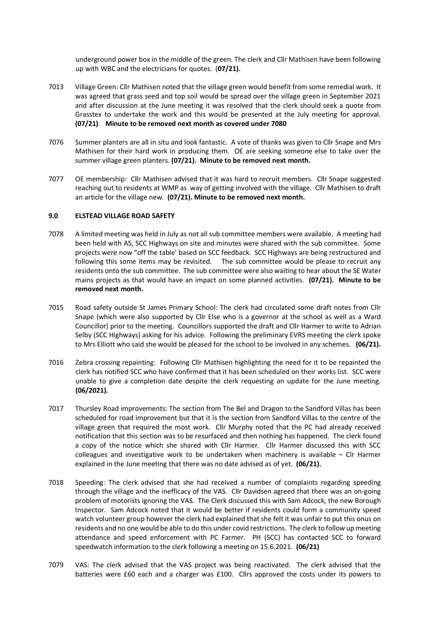underground power box in the middle of the green. The clerk and Cllr Mathisen have been following up with WBC and the electricians for quotes. (**07/21).**

- 7013 Village Green: Cllr Mathisen noted that the village green would benefit from some remedial work. It was agreed that grass seed and top soil would be spread over the village green in September 2021 and after discussion at the June meeting it was resolved that the clerk should seek a quote from Grasstex to undertake the work and this would be presented at the July meeting for approval. **(07/21)**. **Minute to be removed next month as covered under 7080**
- 7076 Summer planters are all in situ and look fantastic. A vote of thanks was given to Cllr Snape and Mrs Mathisen for their hard work in producing them. OE are seeking someone else to take over the summer village green planters. **(07/21). Minute to be removed next month.**
- 7077 OE membership: Cllr Mathisen advised that it was hard to recruit members. Cllr Snape suggested reaching out to residents at WMP as way of getting involved with the village. Cllr Mathisen to draft an article for the village new. **(07/21). Minute to be removed next month.**

#### **9.0 ELSTEAD VILLAGE ROAD SAFETY**

- 7078 A limited meeting was held in July as not all sub committee members were available. A meeting had been held with AS, SCC Highways on site and minutes were shared with the sub committee. Some projects were now "off the table' based on SCC feedback. SCC Highways are being restructured and following this some items may be revisited. The sub committee would be please to recruit any residents onto the sub committee. The sub committee were also waiting to hear about the SE Water mains projects as that would have an impact on some planned activities. **(07/21). Minute to be removed next month.**
- 7015 Road safety outside St James Primary School: The clerk had circulated some draft notes from Cllr Snape (which were also supported by Cllr Else who is a governor at the school as well as a Ward Councillor) prior to the meeting. Councillors supported the draft and Cllr Harmer to write to Adrian Selby (SCC Highways) asking for his advice. Following the preliminary EVRS meeting the clerk spoke to Mrs Elliott who said she would be pleased for the school to be involved in any schemes. **(06/21).**
- 7016 Zebra crossing repainting: Following Cllr Mathisen highlighting the need for it to be repainted the clerk has notified SCC who have confirmed that it has been scheduled on their works list. SCC were unable to give a completion date despite the clerk requesting an update for the June meeting. **(06/2021).**
- 7017 Thursley Road improvements: The section from The Bel and Dragon to the Sandford Villas has been scheduled for road improvement but that it is the section from Sandford Villas to the centre of the village green that required the most work. Cllr Murphy noted that the PC had already received notification that this section was to be resurfaced and then nothing has happened. The clerk found a copy of the notice which she shared with Cllr Harmer. Cllr Harmer discussed this with SCC colleagues and investigative work to be undertaken when machinery is available – Clr Harmer explained in the June meeting that there was no date advised as of yet. **(06/21).**
- 7018 Speeding: The clerk advised that she had received a number of complaints regarding speeding through the village and the inefficacy of the VAS. Cllr Davidsen agreed that there was an on-going problem of motorists ignoring the VAS. The Clerk discussed this with Sam Adcock, the new Borough Inspector. Sam Adcock noted that it would be better if residents could form a community speed watch volunteer group however the clerk had explained that she felt it was unfair to put this onus on residents and no one would be able to do this under covid restrictions. The clerk to follow up meeting attendance and speed enforcement with PC Farmer. PH (SCC) has contacted SCC to forward speedwatch information to the clerk following a meeting on 15.6.2021. **(06/21)**
- 7079 VAS: The clerk advised that the VAS project was being reactivated. The clerk advised that the batteries were £60 each and a charger was £100. Cllrs approved the costs under its powers to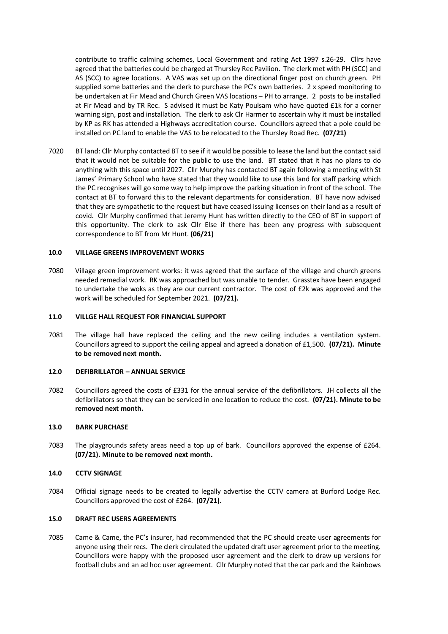contribute to traffic calming schemes, Local Government and rating Act 1997 s.26-29. Cllrs have agreed that the batteries could be charged at Thursley Rec Pavilion. The clerk met with PH (SCC) and AS (SCC) to agree locations. A VAS was set up on the directional finger post on church green. PH supplied some batteries and the clerk to purchase the PC's own batteries. 2 x speed monitoring to be undertaken at Fir Mead and Church Green VAS locations – PH to arrange. 2 posts to be installed at Fir Mead and by TR Rec. S advised it must be Katy Poulsam who have quoted £1k for a corner warning sign, post and installation. The clerk to ask Clr Harmer to ascertain why it must be installed by KP as RK has attended a Highways accreditation course. Councillors agreed that a pole could be installed on PC land to enable the VAS to be relocated to the Thursley Road Rec. **(07/21)** 

7020 BT land: Cllr Murphy contacted BT to see if it would be possible to lease the land but the contact said that it would not be suitable for the public to use the land. BT stated that it has no plans to do anything with this space until 2027. Cllr Murphy has contacted BT again following a meeting with St James' Primary School who have stated that they would like to use this land for staff parking which the PC recognises will go some way to help improve the parking situation in front of the school. The contact at BT to forward this to the relevant departments for consideration. BT have now advised that they are sympathetic to the request but have ceased issuing licenses on their land as a result of covid. Cllr Murphy confirmed that Jeremy Hunt has written directly to the CEO of BT in support of this opportunity. The clerk to ask Cllr Else if there has been any progress with subsequent correspondence to BT from Mr Hunt. **(06/21)**

#### **10.0 VILLAGE GREENS IMPROVEMENT WORKS**

7080 Village green improvement works: it was agreed that the surface of the village and church greens needed remedial work. RK was approached but was unable to tender. Grasstex have been engaged to undertake the woks as they are our current contractor. The cost of £2k was approved and the work will be scheduled for September 2021. **(07/21).**

#### **11.0 VILLGE HALL REQUEST FOR FINANCIAL SUPPORT**

7081 The village hall have replaced the ceiling and the new ceiling includes a ventilation system. Councillors agreed to support the ceiling appeal and agreed a donation of £1,500. **(07/21). Minute to be removed next month.**

#### **12.0 DEFIBRILLATOR – ANNUAL SERVICE**

7082 Councillors agreed the costs of £331 for the annual service of the defibrillators. JH collects all the defibrillators so that they can be serviced in one location to reduce the cost. **(07/21). Minute to be removed next month.**

#### **13.0 BARK PURCHASE**

7083 The playgrounds safety areas need a top up of bark. Councillors approved the expense of £264. **(07/21). Minute to be removed next month.**

#### **14.0 CCTV SIGNAGE**

7084 Official signage needs to be created to legally advertise the CCTV camera at Burford Lodge Rec. Councillors approved the cost of £264. **(07/21).**

#### **15.0 DRAFT REC USERS AGREEMENTS**

7085 Came & Came, the PC's insurer, had recommended that the PC should create user agreements for anyone using their recs. The clerk circulated the updated draft user agreement prior to the meeting. Councillors were happy with the proposed user agreement and the clerk to draw up versions for football clubs and an ad hoc user agreement. Cllr Murphy noted that the car park and the Rainbows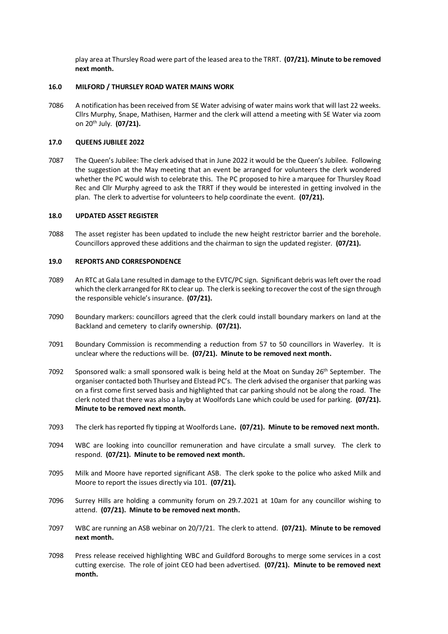play area at Thursley Road were part of the leased area to the TRRT. **(07/21). Minute to be removed next month.**

## **16.0 MILFORD / THURSLEY ROAD WATER MAINS WORK**

7086 A notification has been received from SE Water advising of water mains work that will last 22 weeks. Cllrs Murphy, Snape, Mathisen, Harmer and the clerk will attend a meeting with SE Water via zoom on 20th July. **(07/21).** 

## **17.0 QUEENS JUBILEE 2022**

7087 The Queen's Jubilee: The clerk advised that in June 2022 it would be the Queen's Jubilee. Following the suggestion at the May meeting that an event be arranged for volunteers the clerk wondered whether the PC would wish to celebrate this. The PC proposed to hire a marquee for Thursley Road Rec and Cllr Murphy agreed to ask the TRRT if they would be interested in getting involved in the plan. The clerk to advertise for volunteers to help coordinate the event. **(07/21).** 

## **18.0 UPDATED ASSET REGISTER**

7088 The asset register has been updated to include the new height restrictor barrier and the borehole. Councillors approved these additions and the chairman to sign the updated register. **(07/21).** 

## **19.0 REPORTS AND CORRESPONDENCE**

- 7089 An RTC at Gala Lane resulted in damage to the EVTC/PC sign. Significant debris was left over the road which the clerk arranged for RK to clear up. The clerk is seeking to recover the cost of the sign through the responsible vehicle's insurance. **(07/21).**
- 7090 Boundary markers: councillors agreed that the clerk could install boundary markers on land at the Backland and cemetery to clarify ownership. **(07/21).**
- 7091 Boundary Commission is recommending a reduction from 57 to 50 councillors in Waverley. It is unclear where the reductions will be. **(07/21). Minute to be removed next month.**
- 7092 Sponsored walk: a small sponsored walk is being held at the Moat on Sunday  $26<sup>th</sup>$  September. The organiser contacted both Thurlsey and Elstead PC's. The clerk advised the organiser that parking was on a first come first served basis and highlighted that car parking should not be along the road. The clerk noted that there was also a layby at Woolfords Lane which could be used for parking. **(07/21). Minute to be removed next month.**
- 7093 The clerk has reported fly tipping at Woolfords Lane**. (07/21). Minute to be removed next month.**
- 7094 WBC are looking into councillor remuneration and have circulate a small survey. The clerk to respond. **(07/21). Minute to be removed next month.**
- 7095 Milk and Moore have reported significant ASB. The clerk spoke to the police who asked Milk and Moore to report the issues directly via 101. **(07/21).**
- 7096 Surrey Hills are holding a community forum on 29.7.2021 at 10am for any councillor wishing to attend. **(07/21). Minute to be removed next month.**
- 7097 WBC are running an ASB webinar on 20/7/21. The clerk to attend. **(07/21). Minute to be removed next month.**
- 7098 Press release received highlighting WBC and Guildford Boroughs to merge some services in a cost cutting exercise. The role of joint CEO had been advertised. **(07/21). Minute to be removed next month.**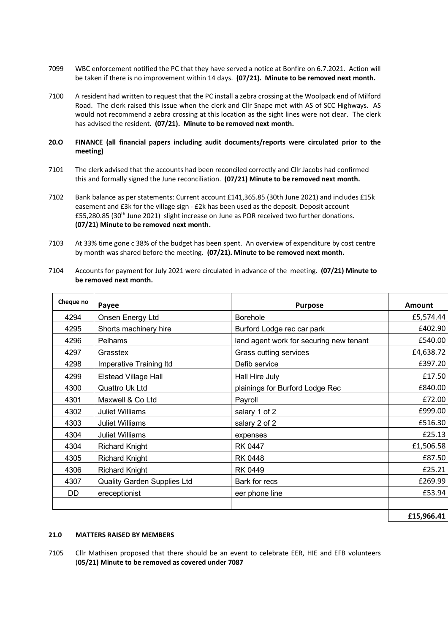- 7099 WBC enforcement notified the PC that they have served a notice at Bonfire on 6.7.2021. Action will be taken if there is no improvement within 14 days. **(07/21). Minute to be removed next month.**
- 7100 A resident had written to request that the PC install a zebra crossing at the Woolpack end of Milford Road. The clerk raised this issue when the clerk and Cllr Snape met with AS of SCC Highways. AS would not recommend a zebra crossing at this location as the sight lines were not clear. The clerk has advised the resident. **(07/21). Minute to be removed next month.**

# **20.O FINANCE (all financial papers including audit documents/reports were circulated prior to the meeting)**

- 7101 The clerk advised that the accounts had been reconciled correctly and Cllr Jacobs had confirmed this and formally signed the June reconciliation. **(07/21) Minute to be removed next month.**
- 7102 Bank balance as per statements: Current account £141,365.85 (30th June 2021) and includes £15k easement and £3k for the village sign - £2k has been used as the deposit. Deposit account £55,280.85 (30<sup>th</sup> June 2021) slight increase on June as POR received two further donations. **(07/21) Minute to be removed next month.**
- 7103 At 33% time gone c 38% of the budget has been spent. An overview of expenditure by cost centre by month was shared before the meeting. **(07/21). Minute to be removed next month.**
- 7104 Accounts for payment for July 2021 were circulated in advance of the meeting. **(07/21) Minute to be removed next month.**

| Cheque no | Payee                       | <b>Purpose</b>                          | Amount     |
|-----------|-----------------------------|-----------------------------------------|------------|
| 4294      | Onsen Energy Ltd            | <b>Borehole</b>                         | £5,574.44  |
| 4295      | Shorts machinery hire       | Burford Lodge rec car park              | £402.90    |
| 4296      | Pelhams                     | land agent work for securing new tenant | £540.00    |
| 4297      | Grasstex                    | Grass cutting services                  | £4,638.72  |
| 4298      | Imperative Training Itd     | Defib service                           | £397.20    |
| 4299      | <b>Elstead Village Hall</b> | Hall Hire July                          | £17.50     |
| 4300      | Quattro Uk Ltd              | plainings for Burford Lodge Rec         | £840.00    |
| 4301      | Maxwell & Co Ltd            | Payroll                                 | £72.00     |
| 4302      | <b>Juliet Williams</b>      | salary 1 of 2                           | £999.00    |
| 4303      | <b>Juliet Williams</b>      | salary 2 of 2                           | £516.30    |
| 4304      | <b>Juliet Williams</b>      | expenses                                | £25.13     |
| 4304      | <b>Richard Knight</b>       | <b>RK 0447</b>                          | £1,506.58  |
| 4305      | <b>Richard Knight</b>       | RK 0448                                 | £87.50     |
| 4306      | <b>Richard Knight</b>       | <b>RK 0449</b>                          | £25.21     |
| 4307      | Quality Garden Supplies Ltd | Bark for recs                           | £269.99    |
| DD        | ereceptionist               | eer phone line                          | £53.94     |
|           |                             |                                         |            |
|           |                             |                                         | £15,966.41 |

## **21.0 MATTERS RAISED BY MEMBERS**

7105 Cllr Mathisen proposed that there should be an event to celebrate EER, HIE and EFB volunteers (**05/21) Minute to be removed as covered under 7087**